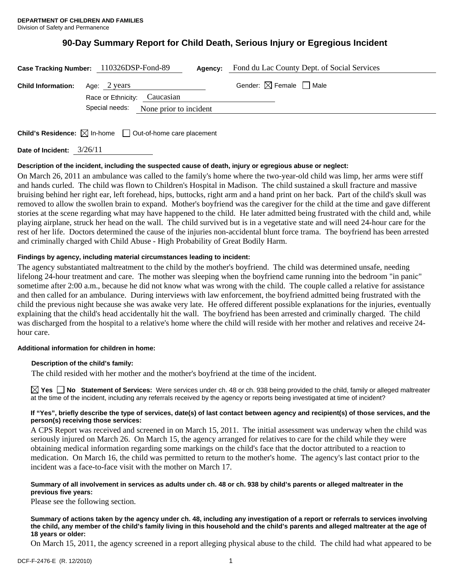# **90-Day Summary Report for Child Death, Serious Injury or Egregious Incident**

|                           | Case Tracking Number: 110326DSP-Fond-89<br>Agency:                              | Fond du Lac County Dept. of Social Services |
|---------------------------|---------------------------------------------------------------------------------|---------------------------------------------|
| <b>Child Information:</b> | Age: 2 years<br>Race or Ethnicity: Caucasian                                    | Gender: $\boxtimes$ Female $\Box$ Male      |
|                           | Special needs: None prior to incident                                           |                                             |
|                           | <b>Child's Residence:</b> $\boxtimes$ In-home $\Box$ Out-of-home care placement |                                             |

**Date of Incident:** 3/26/11

## **Description of the incident, including the suspected cause of death, injury or egregious abuse or neglect:**

On March 26, 2011 an ambulance was called to the family's home where the two-year-old child was limp, her arms were stiff and hands curled. The child was flown to Children's Hospital in Madison. The child sustained a skull fracture and massive bruising behind her right ear, left forehead, hips, buttocks, right arm and a hand print on her back. Part of the child's skull was removed to allow the swollen brain to expand. Mother's boyfriend was the caregiver for the child at the time and gave different stories at the scene regarding what may have happened to the child. He later admitted being frustrated with the child and, while playing airplane, struck her head on the wall. The child survived but is in a vegetative state and will need 24-hour care for the rest of her life. Doctors determined the cause of the injuries non-accidental blunt force trama. The boyfriend has been arrested and criminally charged with Child Abuse - High Probability of Great Bodily Harm.

## **Findings by agency, including material circumstances leading to incident:**

The agency substantiated maltreatment to the child by the mother's boyfriend. The child was determined unsafe, needing lifelong 24-hour treatment and care. The mother was sleeping when the boyfriend came running into the bedroom "in panic" sometime after 2:00 a.m., because he did not know what was wrong with the child. The couple called a relative for assistance and then called for an ambulance. During interviews with law enforcement, the boyfriend admitted being frustrated with the child the previous night because she was awake very late. He offered different possible explanations for the injuries, eventually explaining that the child's head accidentally hit the wall. The boyfriend has been arrested and criminally charged. The child was discharged from the hospital to a relative's home where the child will reside with her mother and relatives and receive 24 hour care.

## **Additional information for children in home:**

## **Description of the child's family:**

The child resided with her mother and the mother's boyfriend at the time of the incident.

**Yes No** Statement of Services: Were services under ch. 48 or ch. 938 being provided to the child, family or alleged maltreater at the time of the incident, including any referrals received by the agency or reports being investigated at time of incident?

#### **If "Yes", briefly describe the type of services, date(s) of last contact between agency and recipient(s) of those services, and the person(s) receiving those services:**

A CPS Report was received and screened in on March 15, 2011. The initial assessment was underway when the child was seriously injured on March 26. On March 15, the agency arranged for relatives to care for the child while they were obtaining medical information regarding some markings on the child's face that the doctor attributed to a reaction to medication. On March 16, the child was permitted to return to the mother's home. The agency's last contact prior to the incident was a face-to-face visit with the mother on March 17.

## **Summary of all involvement in services as adults under ch. 48 or ch. 938 by child's parents or alleged maltreater in the previous five years:**

Please see the following section.

**Summary of actions taken by the agency under ch. 48, including any investigation of a report or referrals to services involving the child, any member of the child's family living in this household and the child's parents and alleged maltreater at the age of 18 years or older:** 

On March 15, 2011, the agency screened in a report alleging physical abuse to the child. The child had what appeared to be